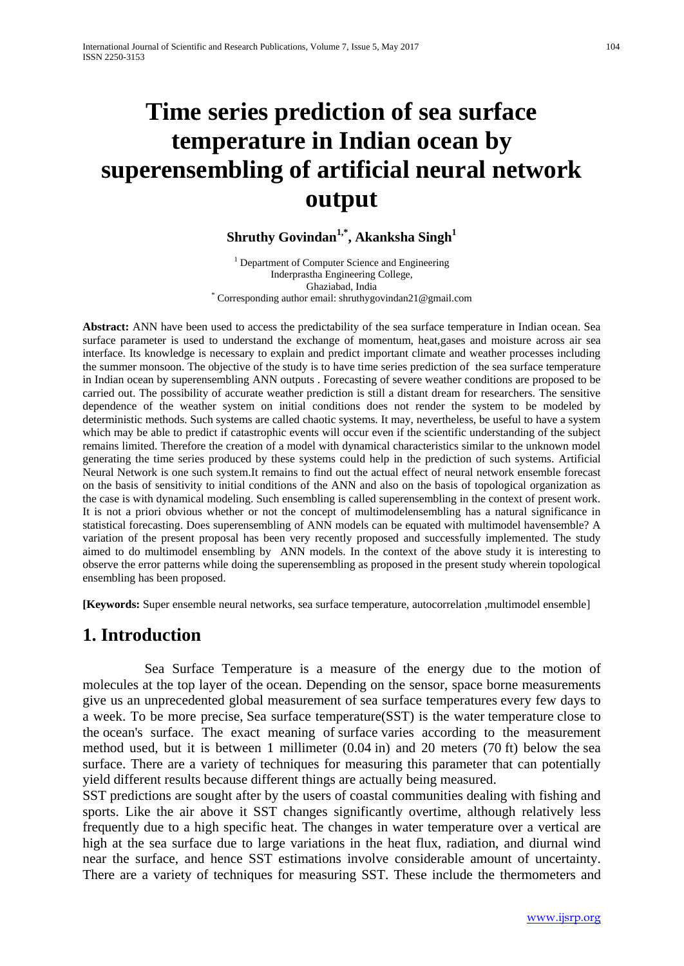# **Time series prediction of sea surface temperature in Indian ocean by superensembling of artificial neural network output**

#### **Shruthy Govindan1,\*, Akanksha Singh1**

<sup>1</sup> Department of Computer Science and Engineering Inderprastha Engineering College, \* Corresponding author email: shruthygovindan21@gmail.com

**Abstract:** ANN have been used to access the predictability of the sea surface temperature in Indian ocean. Sea surface parameter is used to understand the exchange of momentum, heat,gases and moisture across air sea interface. Its knowledge is necessary to explain and predict important climate and weather processes including the summer monsoon. The objective of the study is to have time series prediction of the sea surface temperature in Indian ocean by superensembling ANN outputs . Forecasting of severe weather conditions are proposed to be carried out. The possibility of accurate weather prediction is still a distant dream for researchers. The sensitive dependence of the weather system on initial conditions does not render the system to be modeled by deterministic methods. Such systems are called chaotic systems. It may, nevertheless, be useful to have a system which may be able to predict if catastrophic events will occur even if the scientific understanding of the subject remains limited. Therefore the creation of a model with dynamical characteristics similar to the unknown model generating the time series produced by these systems could help in the prediction of such systems. Artificial Neural Network is one such system.It remains to find out the actual effect of neural network ensemble forecast on the basis of sensitivity to initial conditions of the ANN and also on the basis of topological organization as the case is with dynamical modeling. Such ensembling is called superensembling in the context of present work. It is not a priori obvious whether or not the concept of multimodelensembling has a natural significance in statistical forecasting. Does superensembling of ANN models can be equated with multimodel havensemble? A variation of the present proposal has been very recently proposed and successfully implemented. The study aimed to do multimodel ensembling by ANN models. In the context of the above study it is interesting to observe the error patterns while doing the superensembling as proposed in the present study wherein topological ensembling has been proposed.

**[Keywords:** Super ensemble neural networks, sea surface temperature, autocorrelation ,multimodel ensemble]

## **1. Introduction**

Sea Surface Temperature is a measure of the energy due to the motion of molecules at the top layer of the ocean. Depending on the sensor, space borne measurements give us an unprecedented global measurement of sea surface temperatures every few days to a week. To be more precise, Sea surface temperature(SST) is the water temperature close to the ocean's surface. The exact meaning of surface varies according to the measurement method used, but it is between 1 millimeter (0.04 in) and 20 meters (70 ft) below the sea surface. There are a variety of techniques for measuring this parameter that can potentially yield different results because different things are actually being measured.

SST predictions are sought after by the users of coastal communities dealing with fishing and sports. Like the air above it SST changes significantly overtime, although relatively less frequently due to a high specific heat. The changes in water temperature over a vertical are high at the sea surface due to large variations in the heat flux, radiation, and diurnal wind near the surface, and hence SST estimations involve considerable amount of uncertainty. There are a variety of techniques for measuring SST. These include the thermometers and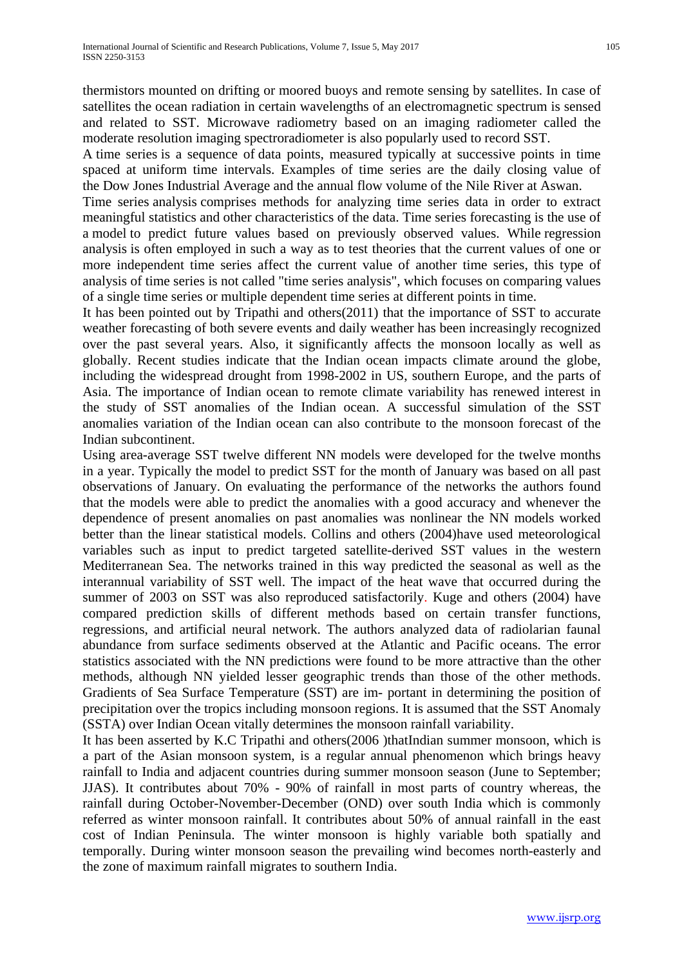A time series is a sequence of [data points,](http://en.wikipedia.org/wiki/Data_point) measured typically at successive points in time spaced at uniform time intervals. Examples of time series are the daily closing value of the [Dow Jones Industrial Average](http://en.wikipedia.org/wiki/Dow_Jones_Industrial_Average) and the annual flow volume of the [Nile River](http://en.wikipedia.org/wiki/Nile) at [Aswan.](http://en.wikipedia.org/wiki/Aswan)

Time series analysis comprises methods for analyzing time series data in order to extract meaningful statistics and other characteristics of the data. Time series forecasting is the use of a [model](http://en.wikipedia.org/wiki/Model_(abstract)) to predict future values based on previously observed values. While [regression](http://en.wikipedia.org/wiki/Regression_analysis)  [analysis](http://en.wikipedia.org/wiki/Regression_analysis) is often employed in such a way as to test theories that the current values of one or more independent time series affect the current value of another time series, this type of analysis of time series is not called "time series analysis", which focuses on comparing values of a single time series or multiple dependent time series at different points in time.

It has been pointed out by Tripathi and others(2011) that the importance of SST to accurate weather forecasting of both severe events and daily weather has been increasingly recognized over the past several years. Also, it significantly affects the monsoon locally as well as globally. Recent studies indicate that the Indian ocean impacts climate around the globe, including the widespread drought from 1998-2002 in US, southern Europe, and the parts of Asia. The importance of Indian ocean to remote climate variability has renewed interest in the study of SST anomalies of the Indian ocean. A successful simulation of the SST anomalies variation of the Indian ocean can also contribute to the monsoon forecast of the Indian subcontinent.

Using area-average SST twelve different NN models were developed for the twelve months in a year. Typically the model to predict SST for the month of January was based on all past observations of January. On evaluating the performance of the networks the authors found that the models were able to predict the anomalies with a good accuracy and whenever the dependence of present anomalies on past anomalies was nonlinear the NN models worked better than the linear statistical models. Collins and others (2004)have used meteorological variables such as input to predict targeted satellite-derived SST values in the western Mediterranean Sea. The networks trained in this way predicted the seasonal as well as the interannual variability of SST well. The impact of the heat wave that occurred during the summer of 2003 on SST was also reproduced satisfactorily. Kuge and others (2004) have compared prediction skills of different methods based on certain transfer functions, regressions, and artificial neural network. The authors analyzed data of radiolarian faunal abundance from surface sediments observed at the Atlantic and Pacific oceans. The error statistics associated with the NN predictions were found to be more attractive than the other methods, although NN yielded lesser geographic trends than those of the other methods. Gradients of Sea Surface Temperature (SST) are im- portant in determining the position of precipitation over the tropics including monsoon regions. It is assumed that the SST Anomaly (SSTA) over Indian Ocean vitally determines the monsoon rainfall variability.

It has been asserted by K.C Tripathi and others(2006 )thatIndian summer monsoon, which is a part of the Asian monsoon system, is a regular annual phenomenon which brings heavy rainfall to India and adjacent countries during summer monsoon season (June to September; JJAS). It contributes about 70% - 90% of rainfall in most parts of country whereas, the rainfall during October-November-December (OND) over south India which is commonly referred as winter monsoon rainfall. It contributes about 50% of annual rainfall in the east cost of Indian Peninsula. The winter monsoon is highly variable both spatially and temporally. During winter monsoon season the prevailing wind becomes north-easterly and the zone of maximum rainfall migrates to southern India.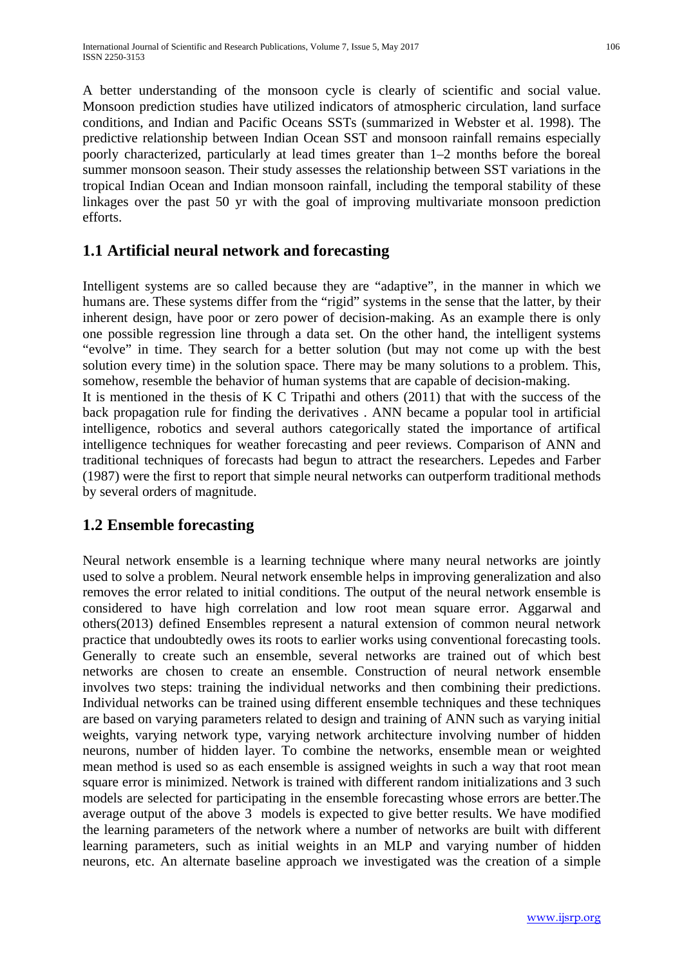A better understanding of the monsoon cycle is clearly of scientific and social value. Monsoon prediction studies have utilized indicators of atmospheric circulation, land surface conditions, and Indian and Pacific Oceans SSTs (summarized in Webster et al. 1998). The predictive relationship between Indian Ocean SST and monsoon rainfall remains especially poorly characterized, particularly at lead times greater than 1–2 months before the boreal summer monsoon season. Their study assesses the relationship between SST variations in the tropical Indian Ocean and Indian monsoon rainfall, including the temporal stability of these linkages over the past 50 yr with the goal of improving multivariate monsoon prediction efforts.

#### **1.1 Artificial neural network and forecasting**

Intelligent systems are so called because they are "adaptive", in the manner in which we humans are. These systems differ from the "rigid" systems in the sense that the latter, by their inherent design, have poor or zero power of decision-making. As an example there is only one possible regression line through a data set. On the other hand, the intelligent systems "evolve" in time. They search for a better solution (but may not come up with the best solution every time) in the solution space. There may be many solutions to a problem. This, somehow, resemble the behavior of human systems that are capable of decision-making. It is mentioned in the thesis of K C Tripathi and others (2011) that with the success of the back propagation rule for finding the derivatives . ANN became a popular tool in artificial intelligence, robotics and several authors categorically stated the importance of artifical intelligence techniques for weather forecasting and peer reviews. Comparison of ANN and traditional techniques of forecasts had begun to attract the researchers. Lepedes and Farber (1987) were the first to report that simple neural networks can outperform traditional methods by several orders of magnitude.

#### **1.2 Ensemble forecasting**

Neural network ensemble is a learning technique where many neural networks are jointly used to solve a problem. Neural network ensemble helps in improving generalization and also removes the error related to initial conditions. The output of the neural network ensemble is considered to have high correlation and low root mean square error. Aggarwal and others(2013) defined Ensembles represent a natural extension of common neural network practice that undoubtedly owes its roots to earlier works using conventional forecasting tools. Generally to create such an ensemble, several networks are trained out of which best networks are chosen to create an ensemble. Construction of neural network ensemble involves two steps: training the individual networks and then combining their predictions. Individual networks can be trained using different ensemble techniques and these techniques are based on varying parameters related to design and training of ANN such as varying initial weights, varying network type, varying network architecture involving number of hidden neurons, number of hidden layer. To combine the networks, ensemble mean or weighted mean method is used so as each ensemble is assigned weights in such a way that root mean square error is minimized. Network is trained with different random initializations and 3 such models are selected for participating in the ensemble forecasting whose errors are better.The average output of the above 3 models is expected to give better results. We have modified the learning parameters of the network where a number of networks are built with different learning parameters, such as initial weights in an MLP and varying number of hidden neurons, etc. An alternate baseline approach we investigated was the creation of a simple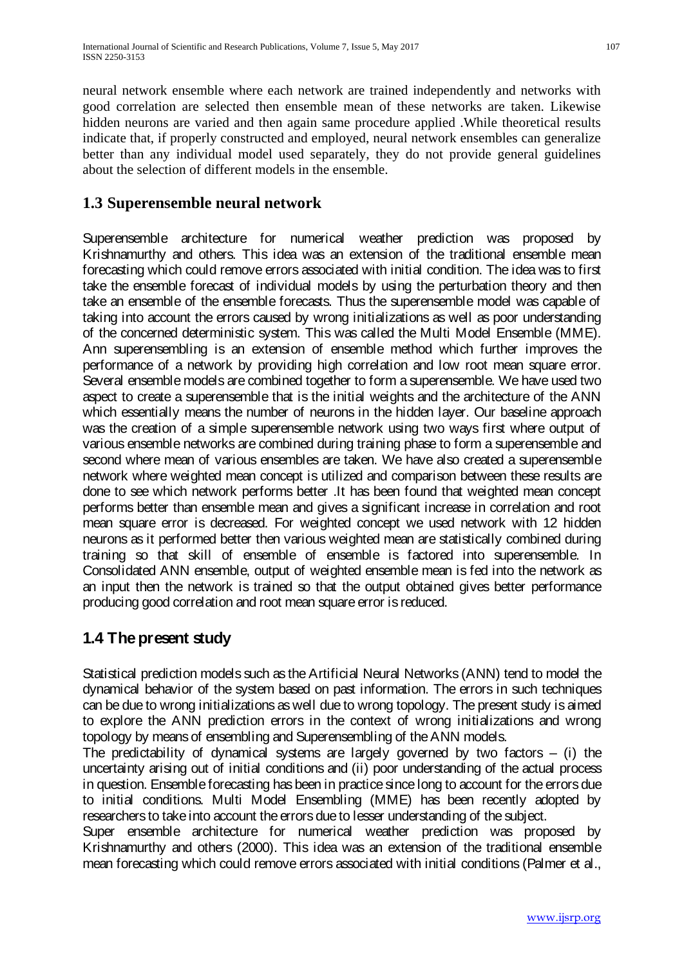neural network ensemble where each network are trained independently and networks with good correlation are selected then ensemble mean of these networks are taken. Likewise hidden neurons are varied and then again same procedure applied .While theoretical results indicate that, if properly constructed and employed, neural network ensembles can generalize better than any individual model used separately, they do not provide general guidelines about the selection of different models in the ensemble.

#### **1.3 Superensemble neural network**

Superensemble architecture for numerical weather prediction was proposed by Krishnamurthy and others. This idea was an extension of the traditional ensemble mean forecasting which could remove errors associated with initial condition. The idea was to first take the ensemble forecast of individual models by using the perturbation theory and then take an ensemble of the ensemble forecasts. Thus the superensemble model was capable of taking into account the errors caused by wrong initializations as well as poor understanding of the concerned deterministic system. This was called the Multi Model Ensemble (MME). Ann superensembling is an extension of ensemble method which further improves the performance of a network by providing high correlation and low root mean square error. Several ensemble models are combined together to form a superensemble. We have used two aspect to create a superensemble that is the initial weights and the architecture of the ANN which essentially means the number of neurons in the hidden layer. Our baseline approach was the creation of a simple superensemble network using two ways first where output of various ensemble networks are combined during training phase to form a superensemble and second where mean of various ensembles are taken. We have also created a superensemble network where weighted mean concept is utilized and comparison between these results are done to see which network performs better .It has been found that weighted mean concept performs better than ensemble mean and gives a significant increase in correlation and root mean square error is decreased. For weighted concept we used network with 12 hidden neurons as it performed better then various weighted mean are statistically combined during training so that skill of ensemble of ensemble is factored into superensemble. In Consolidated ANN ensemble, output of weighted ensemble mean is fed into the network as an input then the network is trained so that the output obtained gives better performance producing good correlation and root mean square error is reduced.

#### **1.4 The present study**

Statistical prediction models such as the Artificial Neural Networks (ANN) tend to model the dynamical behavior of the system based on past information. The errors in such techniques can be due to wrong initializations as well due to wrong topology. The present study is aimed to explore the ANN prediction errors in the context of wrong initializations and wrong topology by means of ensembling and Superensembling of the ANN models.

The predictability of dynamical systems are largely governed by two factors  $-$  (i) the uncertainty arising out of initial conditions and (ii) poor understanding of the actual process in question. Ensemble forecasting has been in practice since long to account for the errors due to initial conditions. Multi Model Ensembling (MME) has been recently adopted by researchers to take into account the errors due to lesser understanding of the subject.

Super ensemble architecture for numerical weather prediction was proposed by Krishnamurthy and others (2000). This idea was an extension of the traditional ensemble mean forecasting which could remove errors associated with initial conditions (Palmer et al.,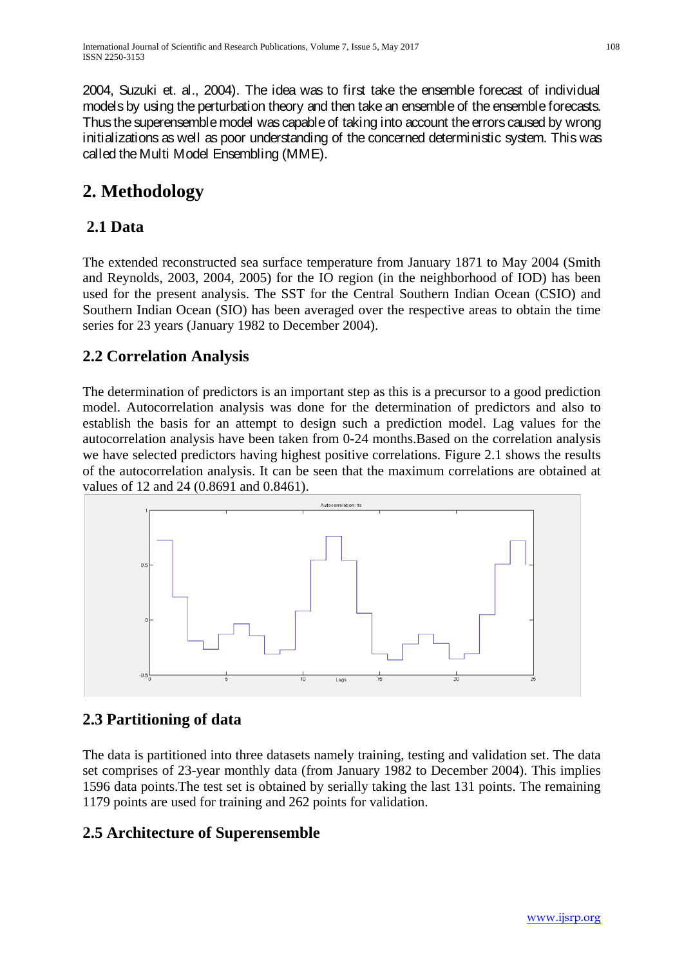# **2. Methodology**

#### **2.1 Data**

The extended reconstructed sea surface temperature from January 1871 to May 2004 (Smith and Reynolds, 2003, 2004, 2005) for the IO region (in the neighborhood of IOD) has been used for the present analysis. The SST for the Central Southern Indian Ocean (CSIO) and Southern Indian Ocean (SIO) has been averaged over the respective areas to obtain the time series for 23 years (January 1982 to December 2004).

#### **2.2 Correlation Analysis**

The determination of predictors is an important step as this is a precursor to a good prediction model. Autocorrelation analysis was done for the determination of predictors and also to establish the basis for an attempt to design such a prediction model. Lag values for the autocorrelation analysis have been taken from 0-24 months.Based on the correlation analysis we have selected predictors having highest positive correlations. Figure 2.1 shows the results of the autocorrelation analysis. It can be seen that the maximum correlations are obtained at values of 12 and 24 (0.8691 and 0.8461).



#### **2.3 Partitioning of data**

The data is partitioned into three datasets namely training, testing and validation set. The data set comprises of 23-year monthly data (from January 1982 to December 2004). This implies 1596 data points.The test set is obtained by serially taking the last 131 points. The remaining 1179 points are used for training and 262 points for validation.

#### **2.5 Architecture of Superensemble**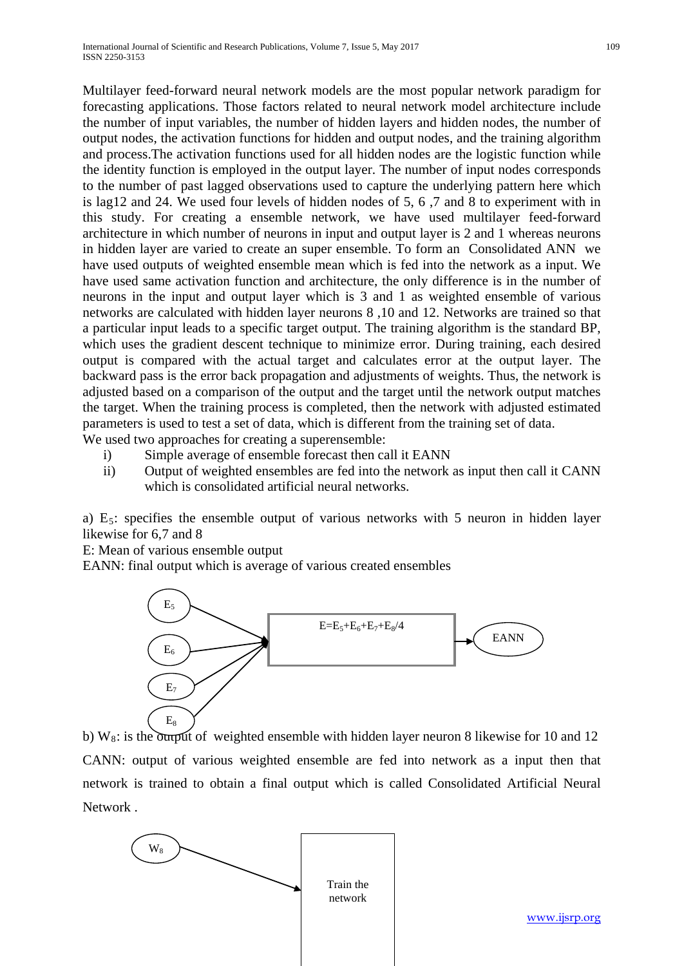the number of input variables, the number of hidden layers and hidden nodes, the number of output nodes, the activation functions for hidden and output nodes, and the training algorithm and process.The activation functions used for all hidden nodes are the logistic function while the identity function is employed in the output layer. The number of input nodes corresponds to the number of past lagged observations used to capture the underlying pattern here which is lag12 and 24. We used four levels of hidden nodes of 5, 6 ,7 and 8 to experiment with in this study. For creating a ensemble network, we have used multilayer feed-forward architecture in which number of neurons in input and output layer is 2 and 1 whereas neurons in hidden layer are varied to create an super ensemble. To form an Consolidated ANN we have used outputs of weighted ensemble mean which is fed into the network as a input. We have used same activation function and architecture, the only difference is in the number of neurons in the input and output layer which is 3 and 1 as weighted ensemble of various networks are calculated with hidden layer neurons 8 ,10 and 12. Networks are trained so that a particular input leads to a specific target output. The training algorithm is the standard BP, which uses the gradient descent technique to minimize error. During training, each desired output is compared with the actual target and calculates error at the output layer. The backward pass is the error back propagation and adjustments of weights. Thus, the network is adjusted based on a comparison of the output and the target until the network output matches the target. When the training process is completed, then the network with adjusted estimated parameters is used to test a set of data, which is different from the training set of data.

We used two approaches for creating a superensemble:

- i) Simple average of ensemble forecast then call it EANN
- ii) Output of weighted ensembles are fed into the network as input then call it CANN which is consolidated artificial neural networks.

a)  $E_5$ : specifies the ensemble output of various networks with 5 neuron in hidden layer likewise for 6,7 and 8

E: Mean of various ensemble output

EANN: final output which is average of various created ensembles



b) W<sub>8</sub>: is the output of weighted ensemble with hidden layer neuron 8 likewise for 10 and 12 CANN: output of various weighted ensemble are fed into network as a input then that network is trained to obtain a final output which is called Consolidated Artificial Neural Network .



[www.ijsrp.org](http://ijsrp.org/)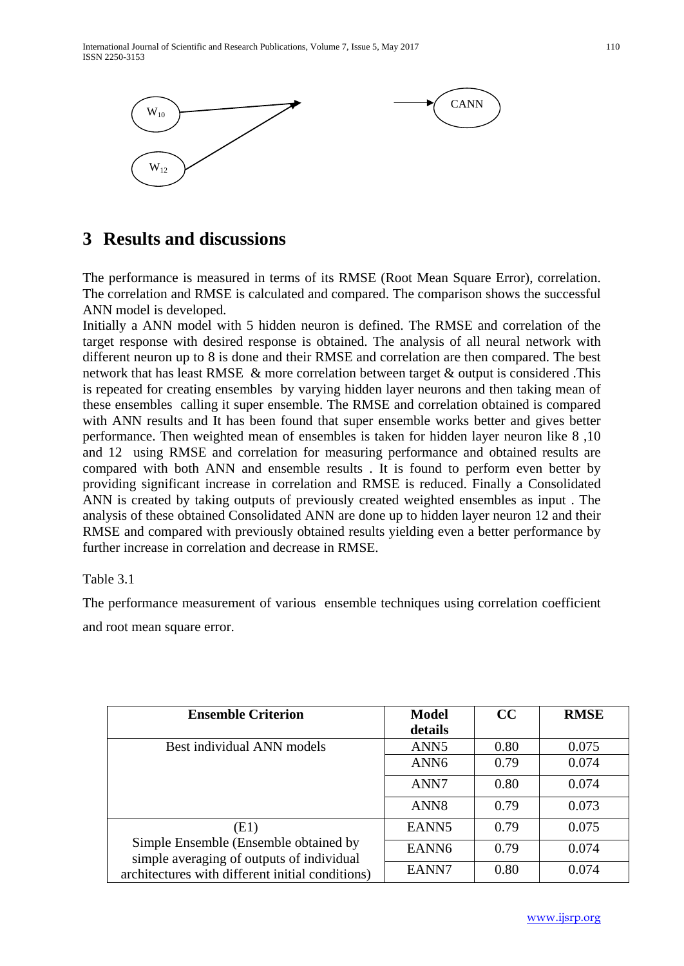

### **3 Results and discussions**

The performance is measured in terms of its RMSE (Root Mean Square Error), correlation. The correlation and RMSE is calculated and compared. The comparison shows the successful ANN model is developed.

Initially a ANN model with 5 hidden neuron is defined. The RMSE and correlation of the target response with desired response is obtained. The analysis of all neural network with different neuron up to 8 is done and their RMSE and correlation are then compared. The best network that has least RMSE & more correlation between target & output is considered .This is repeated for creating ensembles by varying hidden layer neurons and then taking mean of these ensembles calling it super ensemble. The RMSE and correlation obtained is compared with ANN results and It has been found that super ensemble works better and gives better performance. Then weighted mean of ensembles is taken for hidden layer neuron like 8 ,10 and 12 using RMSE and correlation for measuring performance and obtained results are compared with both ANN and ensemble results . It is found to perform even better by providing significant increase in correlation and RMSE is reduced. Finally a Consolidated ANN is created by taking outputs of previously created weighted ensembles as input . The analysis of these obtained Consolidated ANN are done up to hidden layer neuron 12 and their RMSE and compared with previously obtained results yielding even a better performance by further increase in correlation and decrease in RMSE.

Table 3.1

The performance measurement of various ensemble techniques using correlation coefficient and root mean square error.

| <b>Ensemble Criterion</b>                                                                                                                      | <b>Model</b>      | CC   | <b>RMSE</b> |
|------------------------------------------------------------------------------------------------------------------------------------------------|-------------------|------|-------------|
|                                                                                                                                                | details           |      |             |
| Best individual ANN models                                                                                                                     | ANN <sub>5</sub>  | 0.80 | 0.075       |
|                                                                                                                                                | ANN <sub>6</sub>  | 0.79 | 0.074       |
|                                                                                                                                                | ANN7              | 0.80 | 0.074       |
|                                                                                                                                                | ANN <sub>8</sub>  | 0.79 | 0.073       |
| (E1)<br>Simple Ensemble (Ensemble obtained by<br>simple averaging of outputs of individual<br>architectures with different initial conditions) | EANN <sub>5</sub> | 0.79 | 0.075       |
|                                                                                                                                                | EANN <sub>6</sub> | 0.79 | 0.074       |
|                                                                                                                                                | EANN7             | 0.80 | 0.074       |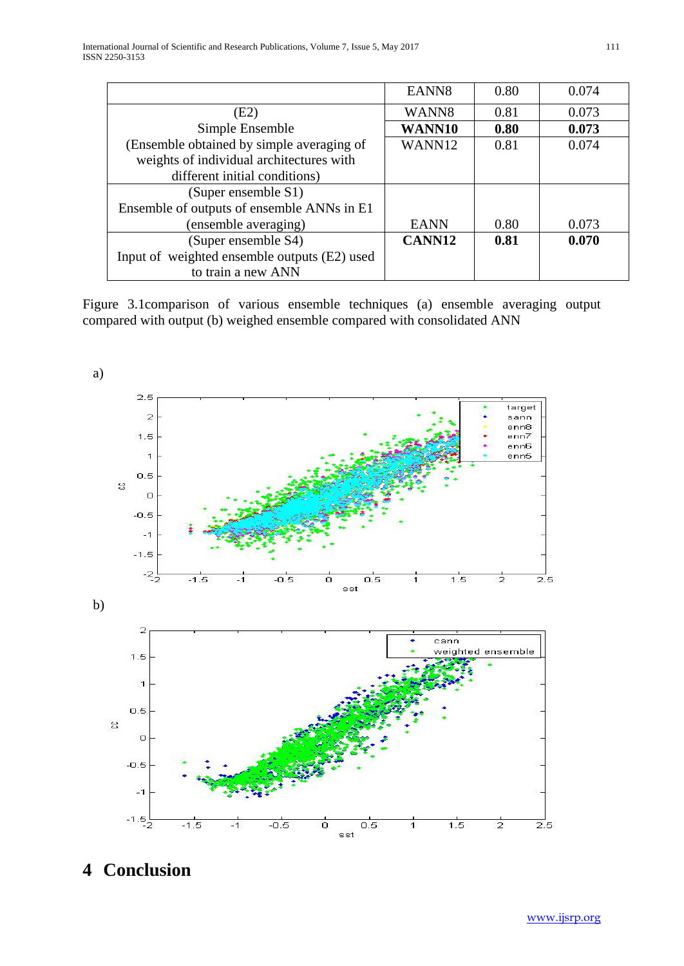|                                              | EANN <sub>8</sub> | 0.80 | 0.074 |
|----------------------------------------------|-------------------|------|-------|
| (E2)                                         | WANN8             | 0.81 | 0.073 |
| Simple Ensemble                              | WANN10            | 0.80 | 0.073 |
| (Ensemble obtained by simple averaging of    | WANN12            | 0.81 | 0.074 |
| weights of individual architectures with     |                   |      |       |
| different initial conditions)                |                   |      |       |
| (Super ensemble S1)                          |                   |      |       |
| Ensemble of outputs of ensemble ANNs in E1   |                   |      |       |
| (ensemble averaging)                         | <b>EANN</b>       | 0.80 | 0.073 |
| (Super ensemble S4)                          | CANN12            | 0.81 | 0.070 |
| Input of weighted ensemble outputs (E2) used |                   |      |       |
| to train a new ANN                           |                   |      |       |

Figure 3.1comparison of various ensemble techniques (a) ensemble averaging output compared with output (b) weighed ensemble compared with consolidated ANN



# **4 Conclusion**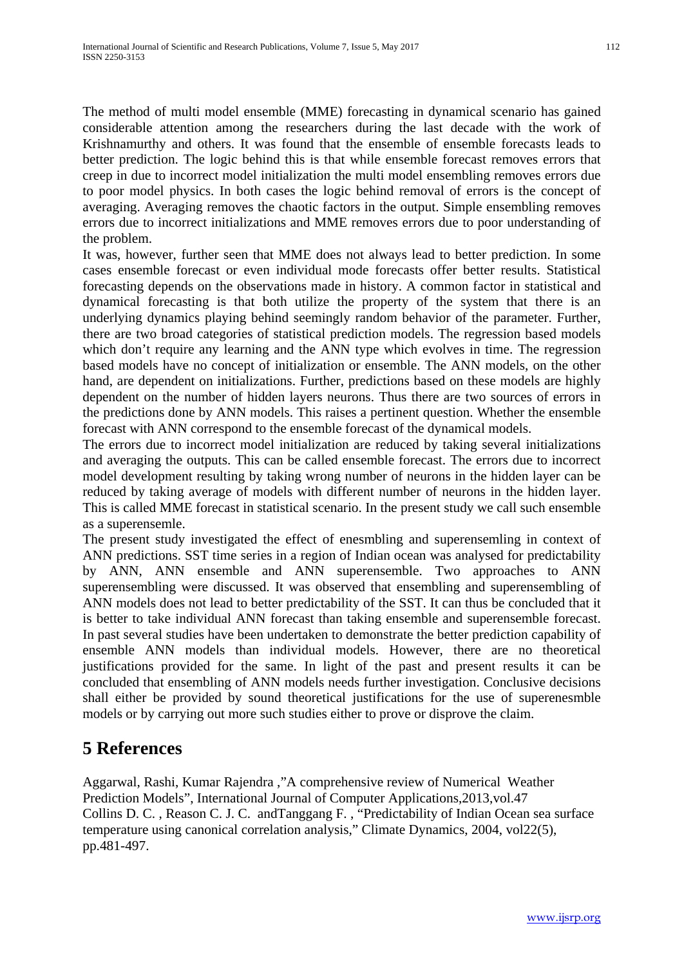The method of multi model ensemble (MME) forecasting in dynamical scenario has gained considerable attention among the researchers during the last decade with the work of Krishnamurthy and others. It was found that the ensemble of ensemble forecasts leads to better prediction. The logic behind this is that while ensemble forecast removes errors that creep in due to incorrect model initialization the multi model ensembling removes errors due to poor model physics. In both cases the logic behind removal of errors is the concept of averaging. Averaging removes the chaotic factors in the output. Simple ensembling removes errors due to incorrect initializations and MME removes errors due to poor understanding of the problem.

It was, however, further seen that MME does not always lead to better prediction. In some cases ensemble forecast or even individual mode forecasts offer better results. Statistical forecasting depends on the observations made in history. A common factor in statistical and dynamical forecasting is that both utilize the property of the system that there is an underlying dynamics playing behind seemingly random behavior of the parameter. Further, there are two broad categories of statistical prediction models. The regression based models which don't require any learning and the ANN type which evolves in time. The regression based models have no concept of initialization or ensemble. The ANN models, on the other hand, are dependent on initializations. Further, predictions based on these models are highly dependent on the number of hidden layers neurons. Thus there are two sources of errors in the predictions done by ANN models. This raises a pertinent question. Whether the ensemble forecast with ANN correspond to the ensemble forecast of the dynamical models.

The errors due to incorrect model initialization are reduced by taking several initializations and averaging the outputs. This can be called ensemble forecast. The errors due to incorrect model development resulting by taking wrong number of neurons in the hidden layer can be reduced by taking average of models with different number of neurons in the hidden layer. This is called MME forecast in statistical scenario. In the present study we call such ensemble as a superensemle.

The present study investigated the effect of enesmbling and superensemling in context of ANN predictions. SST time series in a region of Indian ocean was analysed for predictability by ANN, ANN ensemble and ANN superensemble. Two approaches to ANN superensembling were discussed. It was observed that ensembling and superensembling of ANN models does not lead to better predictability of the SST. It can thus be concluded that it is better to take individual ANN forecast than taking ensemble and superensemble forecast. In past several studies have been undertaken to demonstrate the better prediction capability of ensemble ANN models than individual models. However, there are no theoretical justifications provided for the same. In light of the past and present results it can be concluded that ensembling of ANN models needs further investigation. Conclusive decisions shall either be provided by sound theoretical justifications for the use of superenesmble models or by carrying out more such studies either to prove or disprove the claim.

## **5 References**

Aggarwal, Rashi, Kumar Rajendra ,"A comprehensive review of Numerical Weather Prediction Models", International Journal of Computer Applications,2013,vol.47 Collins D. C. , Reason C. J. C. andTanggang F. , "Predictability of Indian Ocean sea surface temperature using canonical correlation analysis," Climate Dynamics, 2004, vol22(5), pp.481-497.